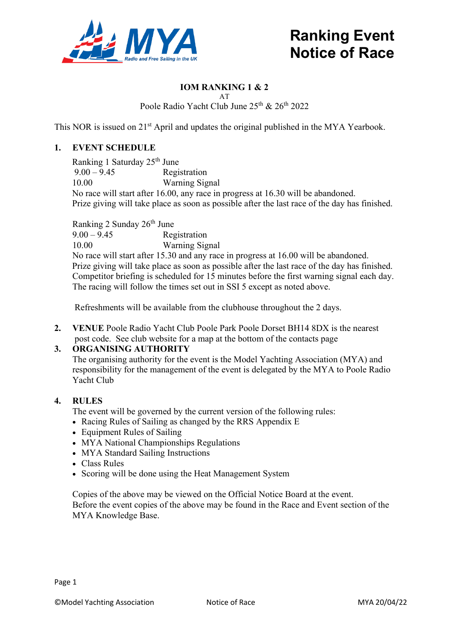

# **Ranking Event Notice of Race**

# **IOM RANKING 1 & 2**

AT Poole Radio Yacht Club June 25<sup>th</sup> & 26<sup>th</sup> 2022

This NOR is issued on 21<sup>st</sup> April and updates the original published in the MYA Yearbook.

# **1. EVENT SCHEDULE**

Ranking 1 Saturday  $25^{th}$  June<br>9.00 – 9.45 Regi **Registration** 10.00 Warning Signal No race will start after 16.00, any race in progress at 16.30 will be abandoned. Prize giving will take place as soon as possible after the last race of the day has finished.

Ranking 2 Sunday 26th June 9.00 – 9.45 Registration 10.00 Warning Signal No race will start after 15.30 and any race in progress at 16.00 will be abandoned. Prize giving will take place as soon as possible after the last race of the day has finished. Competitor briefing is scheduled for 15 minutes before the first warning signal each day. The racing will follow the times set out in SSI 5 except as noted above.

Refreshments will be available from the clubhouse throughout the 2 days.

**2. VENUE** Poole Radio Yacht Club Poole Park Poole Dorset BH14 8DX is the nearest post code. See club website for a map at the bottom of the contacts page

#### **3. ORGANISING AUTHORITY**

The organising authority for the event is the Model Yachting Association (MYA) and responsibility for the management of the event is delegated by the MYA to Poole Radio Yacht Club

#### **4. RULES**

The event will be governed by the current version of the following rules:

- Racing Rules of Sailing as changed by the RRS Appendix E
- Equipment Rules of Sailing
- MYA National Championships Regulations
- MYA Standard Sailing Instructions
- Class Rules
- Scoring will be done using the Heat Management System

 Copies of the above may be viewed on the Official Notice Board at the event. Before the event copies of the above may be found in the Race and Event section of the MYA Knowledge Base.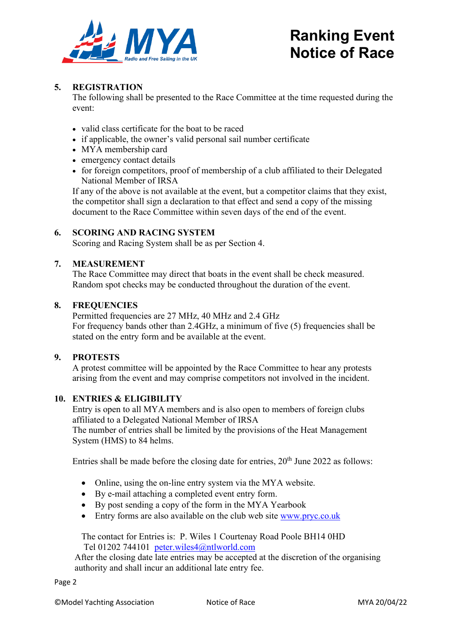

# **Ranking Event Notice of Race**

# **5. REGISTRATION**

The following shall be presented to the Race Committee at the time requested during the event:

- valid class certificate for the boat to be raced
- if applicable, the owner's valid personal sail number certificate
- MYA membership card
- emergency contact details
- for foreign competitors, proof of membership of a club affiliated to their Delegated National Member of IRSA

If any of the above is not available at the event, but a competitor claims that they exist, the competitor shall sign a declaration to that effect and send a copy of the missing document to the Race Committee within seven days of the end of the event.

# **6. SCORING AND RACING SYSTEM**

Scoring and Racing System shall be as per Section 4.

# **7. MEASUREMENT**

The Race Committee may direct that boats in the event shall be check measured. Random spot checks may be conducted throughout the duration of the event.

#### **8. FREQUENCIES**

Permitted frequencies are 27 MHz, 40 MHz and 2.4 GHz For frequency bands other than 2.4GHz, a minimum of five (5) frequencies shall be stated on the entry form and be available at the event.

#### **9. PROTESTS**

A protest committee will be appointed by the Race Committee to hear any protests arising from the event and may comprise competitors not involved in the incident.

#### **10. ENTRIES & ELIGIBILITY**

Entry is open to all MYA members and is also open to members of foreign clubs affiliated to a Delegated National Member of IRSA

The number of entries shall be limited by the provisions of the Heat Management System (HMS) to 84 helms.

Entries shall be made before the closing date for entries,  $20<sup>th</sup>$  June 2022 as follows:

- Online, using the on-line entry system via the MYA website.
- By e-mail attaching a completed event entry form.
- By post sending a copy of the form in the MYA Yearbook
- Entry forms are also available on the club web site [www.pryc.co.uk](http://www.pryc.co.uk/)

The contact for Entries is: P. Wiles 1 Courtenay Road Poole BH14 0HD Tel 01202 744101 [peter.wiles4@ntlworld.com](mailto:peter.wiles4@ntlworld.com)

After the closing date late entries may be accepted at the discretion of the organising authority and shall incur an additional late entry fee.

Page 2